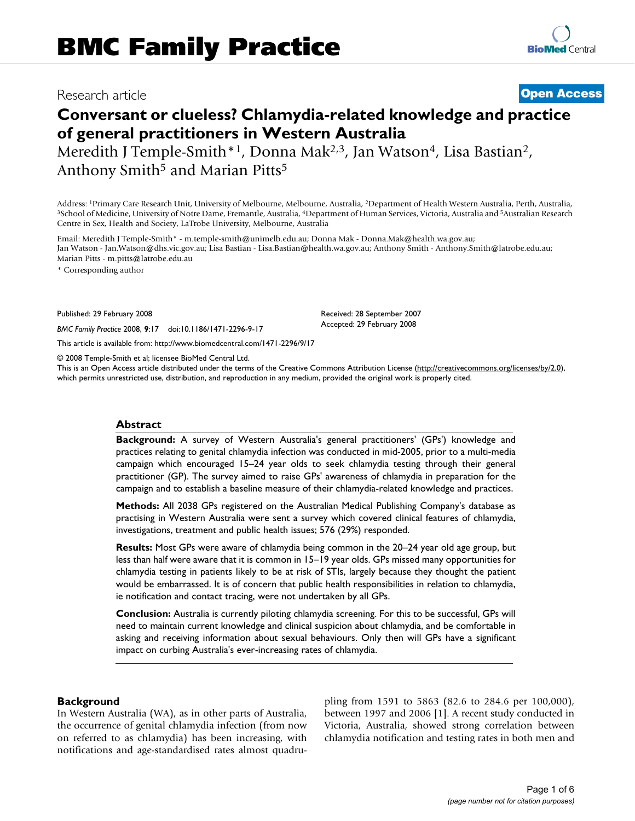## Research article **[Open Access](http://www.biomedcentral.com/info/about/charter/)**

# **Conversant or clueless? Chlamydia-related knowledge and practice of general practitioners in Western Australia**

Meredith J Temple-Smith<sup>\*1</sup>, Donna Mak<sup>2,3</sup>, Jan Watson<sup>4</sup>, Lisa Bastian<sup>2</sup>, Anthony Smith<sup>5</sup> and Marian Pitts<sup>5</sup>

Address: <sup>1</sup>Primary Care Research Unit, University of Melbourne, Melbourne, Australia, <sup>2</sup>Department of Health Western Australia, Perth, Australia, Interalia, Perth, Australia, P. et al. 3<br>3 School of Medicine, University Centre in Sex, Health and Society, LaTrobe University, Melbourne, Australia

Email: Meredith J Temple-Smith\* - m.temple-smith@unimelb.edu.au; Donna Mak - Donna.Mak@health.wa.gov.au; Jan Watson - Jan.Watson@dhs.vic.gov.au; Lisa Bastian - Lisa.Bastian@health.wa.gov.au; Anthony Smith - Anthony.Smith@latrobe.edu.au; Marian Pitts - m.pitts@latrobe.edu.au

\* Corresponding author

Published: 29 February 2008

*BMC Family Practice* 2008, **9**:17 doi:10.1186/1471-2296-9-17

[This article is available from: http://www.biomedcentral.com/1471-2296/9/17](http://www.biomedcentral.com/1471-2296/9/17)

© 2008 Temple-Smith et al; licensee BioMed Central Ltd.

This is an Open Access article distributed under the terms of the Creative Commons Attribution License [\(http://creativecommons.org/licenses/by/2.0\)](http://creativecommons.org/licenses/by/2.0), which permits unrestricted use, distribution, and reproduction in any medium, provided the original work is properly cited.

Received: 28 September 2007 Accepted: 29 February 2008

#### **Abstract**

**Background:** A survey of Western Australia's general practitioners' (GPs') knowledge and practices relating to genital chlamydia infection was conducted in mid-2005, prior to a multi-media campaign which encouraged 15–24 year olds to seek chlamydia testing through their general practitioner (GP). The survey aimed to raise GPs' awareness of chlamydia in preparation for the campaign and to establish a baseline measure of their chlamydia-related knowledge and practices.

**Methods:** All 2038 GPs registered on the Australian Medical Publishing Company's database as practising in Western Australia were sent a survey which covered clinical features of chlamydia, investigations, treatment and public health issues; 576 (29%) responded.

**Results:** Most GPs were aware of chlamydia being common in the 20–24 year old age group, but less than half were aware that it is common in 15–19 year olds. GPs missed many opportunities for chlamydia testing in patients likely to be at risk of STIs, largely because they thought the patient would be embarrassed. It is of concern that public health responsibilities in relation to chlamydia, ie notification and contact tracing, were not undertaken by all GPs.

**Conclusion:** Australia is currently piloting chlamydia screening. For this to be successful, GPs will need to maintain current knowledge and clinical suspicion about chlamydia, and be comfortable in asking and receiving information about sexual behaviours. Only then will GPs have a significant impact on curbing Australia's ever-increasing rates of chlamydia.

#### **Background**

In Western Australia (WA), as in other parts of Australia, the occurrence of genital chlamydia infection (from now on referred to as chlamydia) has been increasing, with notifications and age-standardised rates almost quadrupling from 1591 to 5863 (82.6 to 284.6 per 100,000), between 1997 and 2006 [1]. A recent study conducted in Victoria, Australia, showed strong correlation between chlamydia notification and testing rates in both men and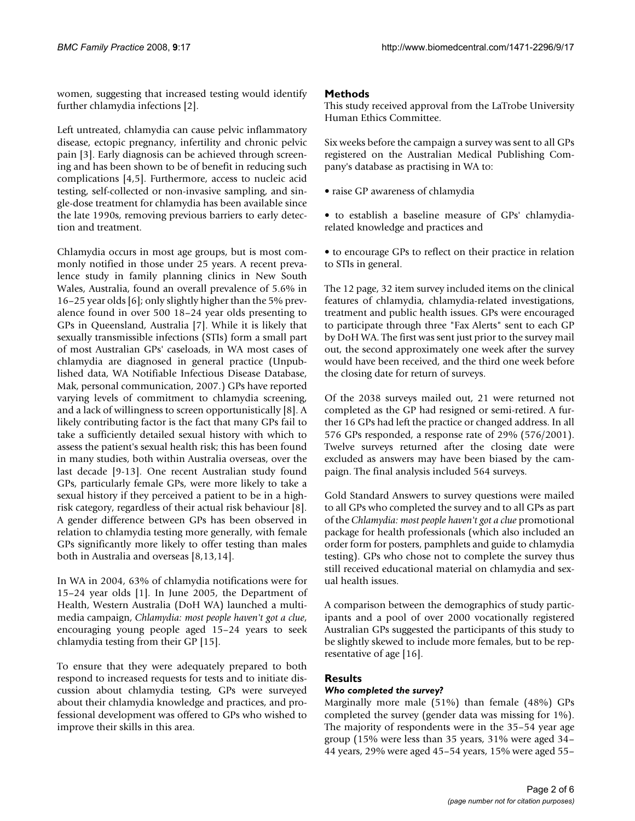women, suggesting that increased testing would identify further chlamydia infections [2].

Left untreated, chlamydia can cause pelvic inflammatory disease, ectopic pregnancy, infertility and chronic pelvic pain [3]. Early diagnosis can be achieved through screening and has been shown to be of benefit in reducing such complications [4,5]. Furthermore, access to nucleic acid testing, self-collected or non-invasive sampling, and single-dose treatment for chlamydia has been available since the late 1990s, removing previous barriers to early detection and treatment.

Chlamydia occurs in most age groups, but is most commonly notified in those under 25 years. A recent prevalence study in family planning clinics in New South Wales, Australia, found an overall prevalence of 5.6% in 16–25 year olds [6]; only slightly higher than the 5% prevalence found in over 500 18–24 year olds presenting to GPs in Queensland, Australia [7]. While it is likely that sexually transmissible infections (STIs) form a small part of most Australian GPs' caseloads, in WA most cases of chlamydia are diagnosed in general practice (Unpublished data, WA Notifiable Infectious Disease Database, Mak, personal communication, 2007.) GPs have reported varying levels of commitment to chlamydia screening, and a lack of willingness to screen opportunistically [8]. A likely contributing factor is the fact that many GPs fail to take a sufficiently detailed sexual history with which to assess the patient's sexual health risk; this has been found in many studies, both within Australia overseas, over the last decade [9-13]. One recent Australian study found GPs, particularly female GPs, were more likely to take a sexual history if they perceived a patient to be in a highrisk category, regardless of their actual risk behaviour [8]. A gender difference between GPs has been observed in relation to chlamydia testing more generally, with female GPs significantly more likely to offer testing than males both in Australia and overseas [8,13,14].

In WA in 2004, 63% of chlamydia notifications were for 15–24 year olds [1]. In June 2005, the Department of Health, Western Australia (DoH WA) launched a multimedia campaign, *Chlamydia: most people haven't got a clue*, encouraging young people aged 15–24 years to seek chlamydia testing from their GP [15].

To ensure that they were adequately prepared to both respond to increased requests for tests and to initiate discussion about chlamydia testing, GPs were surveyed about their chlamydia knowledge and practices, and professional development was offered to GPs who wished to improve their skills in this area.

### **Methods**

This study received approval from the LaTrobe University Human Ethics Committee.

Six weeks before the campaign a survey was sent to all GPs registered on the Australian Medical Publishing Company's database as practising in WA to:

- raise GP awareness of chlamydia
- to establish a baseline measure of GPs' chlamydiarelated knowledge and practices and
- to encourage GPs to reflect on their practice in relation to STIs in general.

The 12 page, 32 item survey included items on the clinical features of chlamydia, chlamydia-related investigations, treatment and public health issues. GPs were encouraged to participate through three "Fax Alerts" sent to each GP by DoH WA. The first was sent just prior to the survey mail out, the second approximately one week after the survey would have been received, and the third one week before the closing date for return of surveys.

Of the 2038 surveys mailed out, 21 were returned not completed as the GP had resigned or semi-retired. A further 16 GPs had left the practice or changed address. In all 576 GPs responded, a response rate of 29% (576/2001). Twelve surveys returned after the closing date were excluded as answers may have been biased by the campaign. The final analysis included 564 surveys.

Gold Standard Answers to survey questions were mailed to all GPs who completed the survey and to all GPs as part of the *Chlamydia: most people haven't got a clue* promotional package for health professionals (which also included an order form for posters, pamphlets and guide to chlamydia testing). GPs who chose not to complete the survey thus still received educational material on chlamydia and sexual health issues.

A comparison between the demographics of study participants and a pool of over 2000 vocationally registered Australian GPs suggested the participants of this study to be slightly skewed to include more females, but to be representative of age [16].

#### **Results**

### *Who completed the survey?*

Marginally more male (51%) than female (48%) GPs completed the survey (gender data was missing for 1%). The majority of respondents were in the 35–54 year age group (15% were less than 35 years, 31% were aged 34– 44 years, 29% were aged 45–54 years, 15% were aged 55–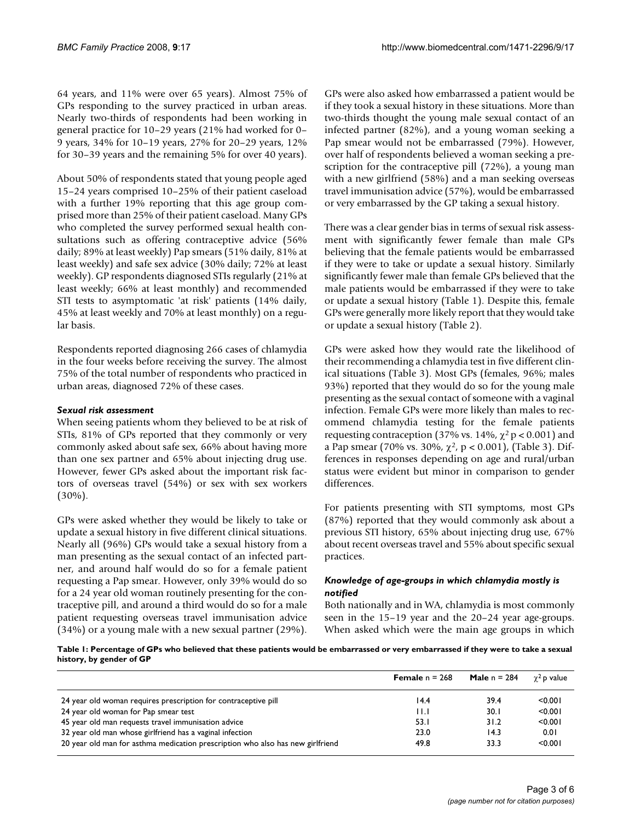64 years, and 11% were over 65 years). Almost 75% of GPs responding to the survey practiced in urban areas. Nearly two-thirds of respondents had been working in general practice for 10–29 years (21% had worked for 0– 9 years, 34% for 10–19 years, 27% for 20–29 years, 12% for 30–39 years and the remaining 5% for over 40 years).

About 50% of respondents stated that young people aged 15–24 years comprised 10–25% of their patient caseload with a further 19% reporting that this age group comprised more than 25% of their patient caseload. Many GPs who completed the survey performed sexual health consultations such as offering contraceptive advice (56% daily; 89% at least weekly) Pap smears (51% daily, 81% at least weekly) and safe sex advice (30% daily; 72% at least weekly). GP respondents diagnosed STIs regularly (21% at least weekly; 66% at least monthly) and recommended STI tests to asymptomatic 'at risk' patients (14% daily, 45% at least weekly and 70% at least monthly) on a regular basis.

Respondents reported diagnosing 266 cases of chlamydia in the four weeks before receiving the survey. The almost 75% of the total number of respondents who practiced in urban areas, diagnosed 72% of these cases.

#### *Sexual risk assessment*

When seeing patients whom they believed to be at risk of STIs, 81% of GPs reported that they commonly or very commonly asked about safe sex, 66% about having more than one sex partner and 65% about injecting drug use. However, fewer GPs asked about the important risk factors of overseas travel (54%) or sex with sex workers  $(30\%)$ .

GPs were asked whether they would be likely to take or update a sexual history in five different clinical situations. Nearly all (96%) GPs would take a sexual history from a man presenting as the sexual contact of an infected partner, and around half would do so for a female patient requesting a Pap smear. However, only 39% would do so for a 24 year old woman routinely presenting for the contraceptive pill, and around a third would do so for a male patient requesting overseas travel immunisation advice (34%) or a young male with a new sexual partner (29%).

GPs were also asked how embarrassed a patient would be if they took a sexual history in these situations. More than two-thirds thought the young male sexual contact of an infected partner (82%), and a young woman seeking a Pap smear would not be embarrassed (79%). However, over half of respondents believed a woman seeking a prescription for the contraceptive pill (72%), a young man with a new girlfriend (58%) and a man seeking overseas travel immunisation advice (57%), would be embarrassed or very embarrassed by the GP taking a sexual history.

There was a clear gender bias in terms of sexual risk assessment with significantly fewer female than male GPs believing that the female patients would be embarrassed if they were to take or update a sexual history. Similarly significantly fewer male than female GPs believed that the male patients would be embarrassed if they were to take or update a sexual history (Table 1). Despite this, female GPs were generally more likely report that they would take or update a sexual history (Table 2).

GPs were asked how they would rate the likelihood of their recommending a chlamydia test in five different clinical situations (Table 3). Most GPs (females, 96%; males 93%) reported that they would do so for the young male presenting as the sexual contact of someone with a vaginal infection. Female GPs were more likely than males to recommend chlamydia testing for the female patients requesting contraception (37% vs.  $14\%$ ,  $\gamma^2$  p < 0.001) and a Pap smear (70% vs. 30%, χ2, p < 0.001), (Table 3). Differences in responses depending on age and rural/urban status were evident but minor in comparison to gender differences.

For patients presenting with STI symptoms, most GPs (87%) reported that they would commonly ask about a previous STI history, 65% about injecting drug use, 67% about recent overseas travel and 55% about specific sexual practices.

## *Knowledge of age-groups in which chlamydia mostly is notified*

Both nationally and in WA, chlamydia is most commonly seen in the 15–19 year and the 20–24 year age-groups. When asked which were the main age groups in which

**Table 1: Percentage of GPs who believed that these patients would be embarrassed or very embarrassed if they were to take a sexual history, by gender of GP**

|                                                                                | <b>Female</b> $n = 268$ | <b>Male</b> $n = 284$ | $\gamma^2$ p value |
|--------------------------------------------------------------------------------|-------------------------|-----------------------|--------------------|
| 24 year old woman requires prescription for contraceptive pill                 | 14.4                    | 39.4                  | < 0.001            |
| 24 year old woman for Pap smear test                                           | 11.I                    | 30. I                 | < 0.001            |
| 45 year old man requests travel immunisation advice                            | 53.1                    | 31.2                  | < 0.001            |
| 32 year old man whose girlfriend has a vaginal infection                       | 23.0                    | 14.3                  | 0.01               |
| 20 year old man for asthma medication prescription who also has new girlfriend | 49.8                    | 33.3                  | < 0.001            |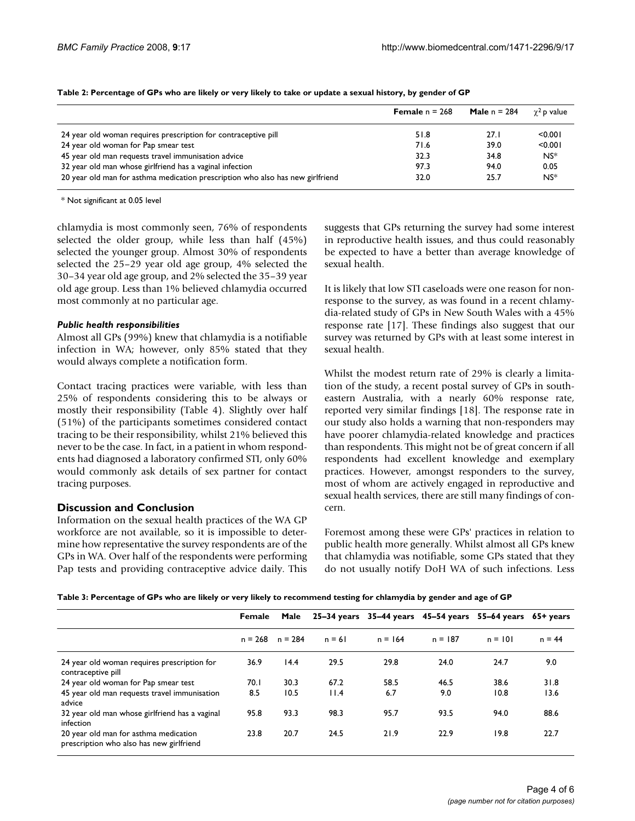|                                                                                | <b>Female</b> $n = 268$ | <b>Male</b> $n = 284$ | $\gamma^2$ p value |
|--------------------------------------------------------------------------------|-------------------------|-----------------------|--------------------|
| 24 year old woman requires prescription for contraceptive pill                 | 51.8                    | 27.I                  | < 0.001            |
| 24 year old woman for Pap smear test                                           | 71.6                    | 39.0                  | < 0.001            |
| 45 year old man requests travel immunisation advice                            | 32.3                    | 34.8                  | $NS^*$             |
| 32 year old man whose girlfriend has a vaginal infection                       | 97.3                    | 94.0                  | 0.05               |
| 20 year old man for asthma medication prescription who also has new girlfriend | 32.0                    | 25.7                  | $NS^*$             |

**Table 2: Percentage of GPs who are likely or very likely to take or update a sexual history, by gender of GP**

\* Not significant at 0.05 level

chlamydia is most commonly seen, 76% of respondents selected the older group, while less than half (45%) selected the younger group. Almost 30% of respondents selected the 25–29 year old age group, 4% selected the 30–34 year old age group, and 2% selected the 35–39 year old age group. Less than 1% believed chlamydia occurred most commonly at no particular age.

#### *Public health responsibilities*

Almost all GPs (99%) knew that chlamydia is a notifiable infection in WA; however, only 85% stated that they would always complete a notification form.

Contact tracing practices were variable, with less than 25% of respondents considering this to be always or mostly their responsibility (Table 4). Slightly over half (51%) of the participants sometimes considered contact tracing to be their responsibility, whilst 21% believed this never to be the case. In fact, in a patient in whom respondents had diagnosed a laboratory confirmed STI, only 60% would commonly ask details of sex partner for contact tracing purposes.

#### **Discussion and Conclusion**

Information on the sexual health practices of the WA GP workforce are not available, so it is impossible to determine how representative the survey respondents are of the GPs in WA. Over half of the respondents were performing Pap tests and providing contraceptive advice daily. This suggests that GPs returning the survey had some interest in reproductive health issues, and thus could reasonably be expected to have a better than average knowledge of sexual health.

It is likely that low STI caseloads were one reason for nonresponse to the survey, as was found in a recent chlamydia-related study of GPs in New South Wales with a 45% response rate [17]. These findings also suggest that our survey was returned by GPs with at least some interest in sexual health.

Whilst the modest return rate of 29% is clearly a limitation of the study, a recent postal survey of GPs in southeastern Australia, with a nearly 60% response rate, reported very similar findings [18]. The response rate in our study also holds a warning that non-responders may have poorer chlamydia-related knowledge and practices than respondents. This might not be of great concern if all respondents had excellent knowledge and exemplary practices. However, amongst responders to the survey, most of whom are actively engaged in reproductive and sexual health services, there are still many findings of concern.

Foremost among these were GPs' practices in relation to public health more generally. Whilst almost all GPs knew that chlamydia was notifiable, some GPs stated that they do not usually notify DoH WA of such infections. Less

|  | Table 3: Percentage of GPs who are likely or very likely to recommend testing for chlamydia by gender and age of GP |  |  |
|--|---------------------------------------------------------------------------------------------------------------------|--|--|
|--|---------------------------------------------------------------------------------------------------------------------|--|--|

|                                                                                   | Female              | Male |          | $25-34$ years $35-44$ years | 45–54 years | $55-64$ years $65+$ years |          |
|-----------------------------------------------------------------------------------|---------------------|------|----------|-----------------------------|-------------|---------------------------|----------|
|                                                                                   | $n = 268$ $n = 284$ |      | $n = 61$ | $n = 164$                   | $n = 187$   | $n = 101$                 | $n = 44$ |
| 24 year old woman requires prescription for<br>contraceptive pill                 | 36.9                | 14.4 | 29.5     | 29.8                        | 24.0        | 24.7                      | 9.0      |
| 24 year old woman for Pap smear test                                              | 70.I                | 30.3 | 67.2     | 58.5                        | 46.5        | 38.6                      | 31.8     |
| 45 year old man requests travel immunisation<br>advice                            | 8.5                 | 10.5 | 11.4     | 6.7                         | 9.0         | 10.8                      | 13.6     |
| 32 year old man whose girlfriend has a vaginal<br>infection                       | 95.8                | 93.3 | 98.3     | 95.7                        | 93.5        | 94.0                      | 88.6     |
| 20 year old man for asthma medication<br>prescription who also has new girlfriend | 23.8                | 20.7 | 24.5     | 21.9                        | 22.9        | 19.8                      | 22.7     |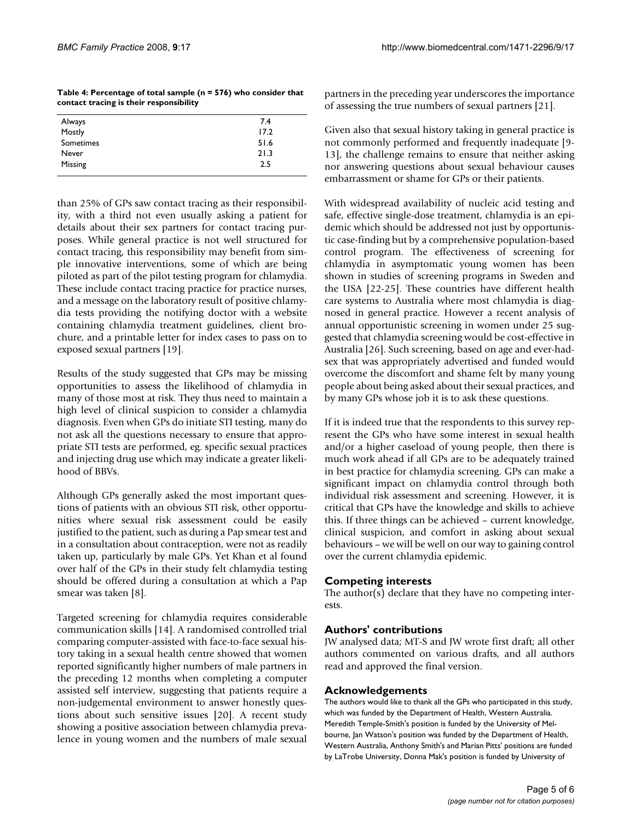| Table 4: Percentage of total sample ( $n = 576$ ) who consider that |  |
|---------------------------------------------------------------------|--|
| contact tracing is their responsibility                             |  |

| Always    | 7.4  |
|-----------|------|
| Mostly    | 17.2 |
| Sometimes | 51.6 |
| Never     | 21.3 |
| Missing   | 2.5  |
|           |      |

than 25% of GPs saw contact tracing as their responsibility, with a third not even usually asking a patient for details about their sex partners for contact tracing purposes. While general practice is not well structured for contact tracing, this responsibility may benefit from simple innovative interventions, some of which are being piloted as part of the pilot testing program for chlamydia. These include contact tracing practice for practice nurses, and a message on the laboratory result of positive chlamydia tests providing the notifying doctor with a website containing chlamydia treatment guidelines, client brochure, and a printable letter for index cases to pass on to exposed sexual partners [19].

Results of the study suggested that GPs may be missing opportunities to assess the likelihood of chlamydia in many of those most at risk. They thus need to maintain a high level of clinical suspicion to consider a chlamydia diagnosis. Even when GPs do initiate STI testing, many do not ask all the questions necessary to ensure that appropriate STI tests are performed, eg. specific sexual practices and injecting drug use which may indicate a greater likelihood of BBVs.

Although GPs generally asked the most important questions of patients with an obvious STI risk, other opportunities where sexual risk assessment could be easily justified to the patient, such as during a Pap smear test and in a consultation about contraception, were not as readily taken up, particularly by male GPs. Yet Khan et al found over half of the GPs in their study felt chlamydia testing should be offered during a consultation at which a Pap smear was taken [8].

Targeted screening for chlamydia requires considerable communication skills [14]. A randomised controlled trial comparing computer-assisted with face-to-face sexual history taking in a sexual health centre showed that women reported significantly higher numbers of male partners in the preceding 12 months when completing a computer assisted self interview, suggesting that patients require a non-judgemental environment to answer honestly questions about such sensitive issues [20]. A recent study showing a positive association between chlamydia prevalence in young women and the numbers of male sexual

partners in the preceding year underscores the importance of assessing the true numbers of sexual partners [21].

Given also that sexual history taking in general practice is not commonly performed and frequently inadequate [9- 13], the challenge remains to ensure that neither asking nor answering questions about sexual behaviour causes embarrassment or shame for GPs or their patients.

With widespread availability of nucleic acid testing and safe, effective single-dose treatment, chlamydia is an epidemic which should be addressed not just by opportunistic case-finding but by a comprehensive population-based control program. The effectiveness of screening for chlamydia in asymptomatic young women has been shown in studies of screening programs in Sweden and the USA [22-25]. These countries have different health care systems to Australia where most chlamydia is diagnosed in general practice. However a recent analysis of annual opportunistic screening in women under 25 suggested that chlamydia screening would be cost-effective in Australia [26]. Such screening, based on age and ever-hadsex that was appropriately advertised and funded would overcome the discomfort and shame felt by many young people about being asked about their sexual practices, and by many GPs whose job it is to ask these questions.

If it is indeed true that the respondents to this survey represent the GPs who have some interest in sexual health and/or a higher caseload of young people, then there is much work ahead if all GPs are to be adequately trained in best practice for chlamydia screening. GPs can make a significant impact on chlamydia control through both individual risk assessment and screening. However, it is critical that GPs have the knowledge and skills to achieve this. If three things can be achieved – current knowledge, clinical suspicion, and comfort in asking about sexual behaviours – we will be well on our way to gaining control over the current chlamydia epidemic.

## **Competing interests**

The author(s) declare that they have no competing interests.

## **Authors' contributions**

JW analysed data; MT-S and JW wrote first draft; all other authors commented on various drafts, and all authors read and approved the final version.

## **Acknowledgements**

The authors would like to thank all the GPs who participated in this study, which was funded by the Department of Health, Western Australia. Meredith Temple-Smith's position is funded by the University of Melbourne, Jan Watson's position was funded by the Department of Health, Western Australia, Anthony Smith's and Marian Pitts' positions are funded by LaTrobe University, Donna Mak's position is funded by University of